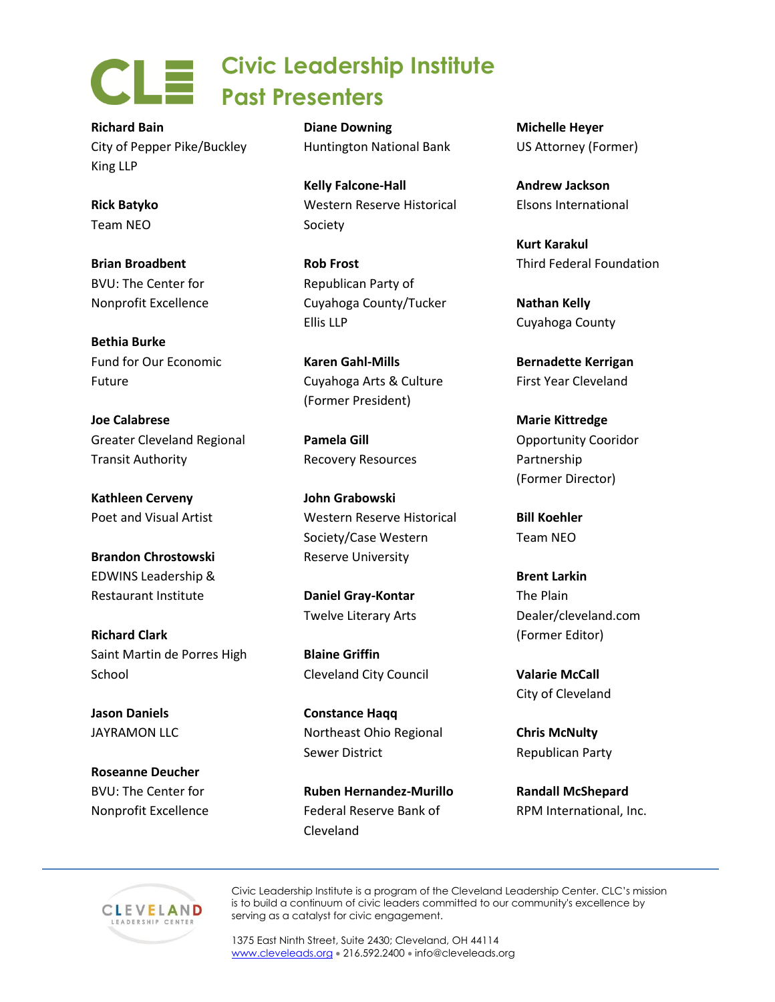**Civic Leadership Institute Past Presenters**

**Richard Bain** City of Pepper Pike/Buckley King LLP

**Rick Batyko** Team NEO

**Brian Broadbent** BVU: The Center for Nonprofit Excellence

**Bethia Burke** Fund for Our Economic Future

**Joe Calabrese** Greater Cleveland Regional Transit Authority

**Kathleen Cerveny** Poet and Visual Artist

**Brandon Chrostowski** EDWINS Leadership & Restaurant Institute

**Richard Clark** Saint Martin de Porres High School

**Jason Daniels** JAYRAMON LLC

**Roseanne Deucher** BVU: The Center for Nonprofit Excellence **Diane Downing** Huntington National Bank

**Kelly Falcone-Hall** Western Reserve Historical Society

**Rob Frost** Republican Party of Cuyahoga County/Tucker Ellis LLP

**Karen Gahl-Mills** Cuyahoga Arts & Culture (Former President)

**Pamela Gill** Recovery Resources

**John Grabowski** Western Reserve Historical Society/Case Western Reserve University

**Daniel Gray-Kontar** Twelve Literary Arts

**Blaine Griffin** Cleveland City Council

**Constance Haqq** Northeast Ohio Regional Sewer District

**Ruben Hernandez-Murillo** Federal Reserve Bank of Cleveland

**Michelle Heyer** US Attorney (Former)

**Andrew Jackson** Elsons International

**Kurt Karakul** Third Federal Foundation

**Nathan Kelly** Cuyahoga County

**Bernadette Kerrigan** First Year Cleveland

**Marie Kittredge** Opportunity Cooridor Partnership (Former Director)

**Bill Koehler** Team NEO

**Brent Larkin** The Plain Dealer/cleveland.com (Former Editor)

**Valarie McCall** City of Cleveland

**Chris McNulty** Republican Party

**Randall McShepard** RPM International, Inc.



Civic Leadership Institute is a program of the Cleveland Leadership Center. CLC's mission is to build a continuum of civic leaders committed to our community's excellence by serving as a catalyst for civic engagement.

1375 East Ninth Street, Suite 2430; Cleveland, OH 44114 [www.cleveleads.org](http://www.cleveleads.org2/) • 216.592.2400 • info@cleveleads.org